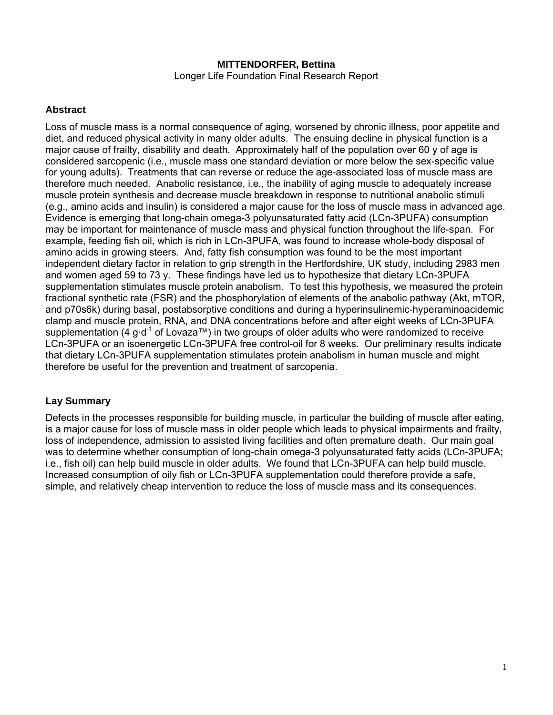#### **MITTENDORFER, Bettina**  Longer Life Foundation Final Research Report

### **Abstract**

Loss of muscle mass is a normal consequence of aging, worsened by chronic illness, poor appetite and diet, and reduced physical activity in many older adults. The ensuing decline in physical function is a major cause of frailty, disability and death. Approximately half of the population over 60 y of age is considered sarcopenic (i.e., muscle mass one standard deviation or more below the sex-specific value for young adults). Treatments that can reverse or reduce the age-associated loss of muscle mass are therefore much needed. Anabolic resistance, i.e., the inability of aging muscle to adequately increase muscle protein synthesis and decrease muscle breakdown in response to nutritional anabolic stimuli (e.g., amino acids and insulin) is considered a major cause for the loss of muscle mass in advanced age. Evidence is emerging that long-chain omega-3 polyunsaturated fatty acid (LCn-3PUFA) consumption may be important for maintenance of muscle mass and physical function throughout the life-span. For example, feeding fish oil, which is rich in LCn-3PUFA, was found to increase whole-body disposal of amino acids in growing steers. And, fatty fish consumption was found to be the most important independent dietary factor in relation to grip strength in the Hertfordshire, UK study, including 2983 men and women aged 59 to 73 y. These findings have led us to hypothesize that dietary LCn-3PUFA supplementation stimulates muscle protein anabolism. To test this hypothesis, we measured the protein fractional synthetic rate (FSR) and the phosphorylation of elements of the anabolic pathway (Akt, mTOR, and p70s6k) during basal, postabsorptive conditions and during a hyperinsulinemic-hyperaminoacidemic clamp and muscle protein, RNA, and DNA concentrations before and after eight weeks of LCn-3PUFA supplementation (4 g·d<sup>-1</sup> of Lovaza<sup>™</sup>) in two groups of older adults who were randomized to receive LCn-3PUFA or an isoenergetic LCn-3PUFA free control-oil for 8 weeks. Our preliminary results indicate that dietary LCn-3PUFA supplementation stimulates protein anabolism in human muscle and might therefore be useful for the prevention and treatment of sarcopenia.

# **Lay Summary**

Defects in the processes responsible for building muscle, in particular the building of muscle after eating, is a major cause for loss of muscle mass in older people which leads to physical impairments and frailty, loss of independence, admission to assisted living facilities and often premature death. Our main goal was to determine whether consumption of long-chain omega-3 polyunsaturated fatty acids (LCn-3PUFA; i.e., fish oil) can help build muscle in older adults. We found that LCn-3PUFA can help build muscle. Increased consumption of oily fish or LCn-3PUFA supplementation could therefore provide a safe, simple, and relatively cheap intervention to reduce the loss of muscle mass and its consequences.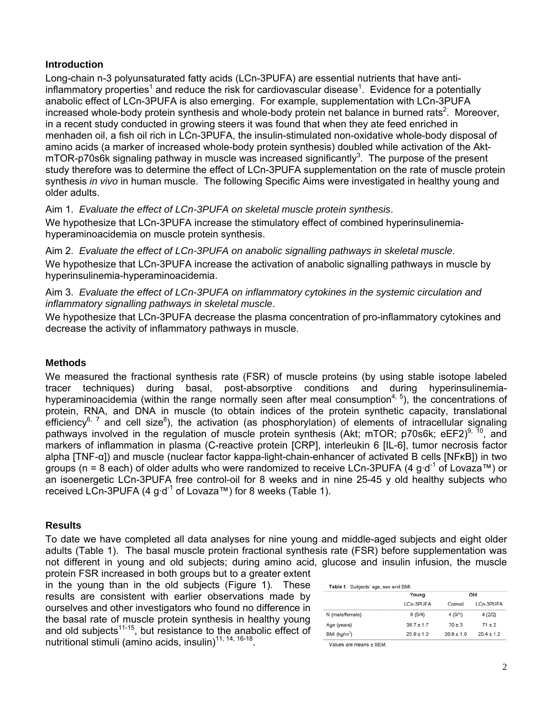#### **Introduction**

Long-chain n-3 polyunsaturated fatty acids (LCn-3PUFA) are essential nutrients that have antiinflammatory properties<sup>1</sup> and reduce the risk for cardiovascular disease<sup>1</sup>. Evidence for a potentially anabolic effect of LCn-3PUFA is also emerging. For example, supplementation with LCn-3PUFA increased whole-body protein synthesis and whole-body protein net balance in burned rats<sup>2</sup>. Moreover, in a recent study conducted in growing steers it was found that when they ate feed enriched in menhaden oil, a fish oil rich in LCn-3PUFA, the insulin-stimulated non-oxidative whole-body disposal of amino acids (a marker of increased whole-body protein synthesis) doubled while activation of the Akt $mTOR-p70s6k$  signaling pathway in muscle was increased significantly<sup>3</sup>. The purpose of the present study therefore was to determine the effect of LCn-3PUFA supplementation on the rate of muscle protein synthesis *in vivo* in human muscle. The following Specific Aims were investigated in healthy young and older adults.

Aim 1. *Evaluate the effect of LCn-3PUFA on skeletal muscle protein synthesis*. We hypothesize that LCn-3PUFA increase the stimulatory effect of combined hyperinsulinemiahyperaminoacidemia on muscle protein synthesis.

Aim 2. *Evaluate the effect of LCn-3PUFA on anabolic signalling pathways in skeletal muscle*. We hypothesize that LCn-3PUFA increase the activation of anabolic signalling pathways in muscle by hyperinsulinemia-hyperaminoacidemia.

Aim 3. *Evaluate the effect of LCn-3PUFA on inflammatory cytokines in the systemic circulation and inflammatory signalling pathways in skeletal muscle*.

We hypothesize that LCn-3PUFA decrease the plasma concentration of pro-inflammatory cytokines and decrease the activity of inflammatory pathways in muscle.

#### **Methods**

We measured the fractional synthesis rate (FSR) of muscle proteins (by using stable isotope labeled tracer techniques) during basal, post-absorptive conditions and during hyperinsulinemiahyperaminoacidemia (within the range normally seen after meal consumption<sup>4, 5</sup>), the concentrations of protein, RNA, and DNA in muscle (to obtain indices of the protein synthetic capacity, translational efficiency<sup>6, 7</sup> and cell size<sup>8</sup>), the activation (as phosphorylation) of elements of intracellular signaling pathways involved in the regulation of muscle protein synthesis (Akt; mTOR; p70s6k; eEF2)<sup>9, 10</sup>, and markers of inflammation in plasma (C-reactive protein [CRP], interleukin 6 [IL-6], tumor necrosis factor alpha [TNF-α]) and muscle (nuclear factor kappa-light-chain-enhancer of activated B cells [NFκB]) in two groups (n = 8 each) of older adults who were randomized to receive LCn-3PUFA (4 g·d<sup>-1</sup> of Lovaza™) or an isoenergetic LCn-3PUFA free control-oil for 8 weeks and in nine 25-45 y old healthy subjects who received LCn-3PUFA (4 g·d<sup>-1</sup> of Lovaza™) for 8 weeks (Table 1).

#### **Results**

To date we have completed all data analyses for nine young and middle-aged subjects and eight older adults (Table 1). The basal muscle protein fractional synthesis rate (FSR) before supplementation was not different in young and old subjects; during amino acid, glucose and insulin infusion, the muscle

protein FSR increased in both groups but to a greater extent in the young than in the old subjects (Figure 1). These results are consistent with earlier observations made by ourselves and other investigators who found no difference in the basal rate of muscle protein synthesis in healthy young and old subjects<sup>11-15</sup>, but resistance to the anabolic effect of nutritional stimuli (amino acids, insulin)<sup>11, 14, 16-18</sup>.

|                          | Young<br>LCn-3PUFA | Old          |                |
|--------------------------|--------------------|--------------|----------------|
|                          |                    | Cornoil      | LCn-3PUFA      |
| N (male/female)          | 9(5/4)             | 4(3/1)       | 4(2/2)         |
| Age (years)              | $39.7 \pm 1.7$     | $70 + 3$     | $71 + 2$       |
| BMI (kg/m <sup>2</sup> ) | $25.9 \pm 1.0$     | $26.9 + 1.0$ | $25.4 \pm 1.2$ |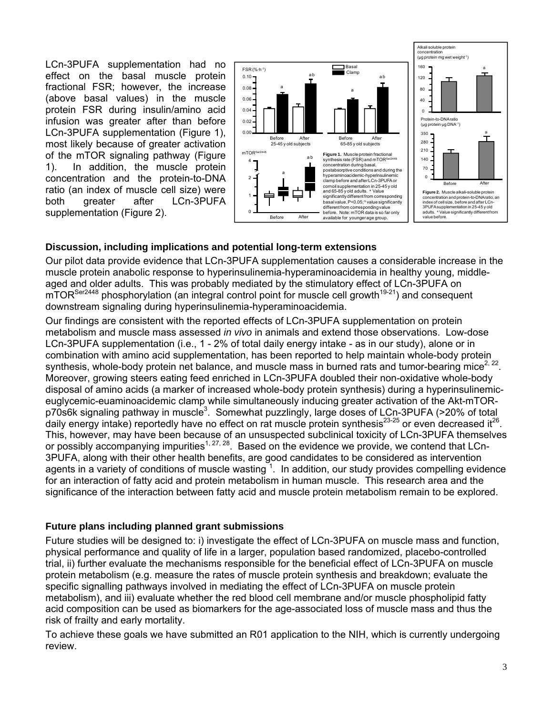LCn-3PUFA supplementation had no effect on the basal muscle protein fractional FSR; however, the increase (above basal values) in the muscle protein FSR during insulin/amino acid infusion was greater after than before LCn-3PUFA supplementation (Figure 1), most likely because of greater activation of the mTOR signaling pathway (Figure 1). In addition, the muscle protein concentration and the protein-to-DNA ratio (an index of muscle cell size) were both greater after LCn-3PUFA supplementation (Figure 2).



### **Discussion, including implications and potential long-term extensions**

Our pilot data provide evidence that LCn-3PUFA supplementation causes a considerable increase in the muscle protein anabolic response to hyperinsulinemia-hyperaminoacidemia in healthy young, middleaged and older adults. This was probably mediated by the stimulatory effect of LCn-3PUFA on  $mTOR<sup>Ser2448</sup>$  phosphorylation (an integral control point for muscle cell growth<sup>19-21</sup>) and consequent downstream signaling during hyperinsulinemia-hyperaminoacidemia.

Our findings are consistent with the reported effects of LCn-3PUFA supplementation on protein metabolism and muscle mass assessed *in vivo* in animals and extend those observations. Low-dose LCn-3PUFA supplementation (i.e., 1 - 2% of total daily energy intake - as in our study), alone or in combination with amino acid supplementation, has been reported to help maintain whole-body protein synthesis, whole-body protein net balance, and muscle mass in burned rats and tumor-bearing mice<sup>2, 22</sup>. Moreover, growing steers eating feed enriched in LCn-3PUFA doubled their non-oxidative whole-body disposal of amino acids (a marker of increased whole-body protein synthesis) during a hyperinsulinemiceuglycemic-euaminoacidemic clamp while simultaneously inducing greater activation of the Akt-mTORp70s6k signaling pathway in muscle<sup>3</sup>. Somewhat puzzlingly, large doses of LCn-3PUFA (>20% of total daily energy intake) reportedly have no effect on rat muscle protein synthesis<sup>23-25</sup> or even decreased it<sup>26</sup>. This, however, may have been because of an unsuspected subclinical toxicity of LCn-3PUFA themselves or possibly accompanying impurities<sup>1, 27, 28</sup>. Based on the evidence we provide, we contend that LCn-3PUFA, along with their other health benefits, are good candidates to be considered as intervention agents in a variety of conditions of muscle wasting  $1$ . In addition, our study provides compelling evidence for an interaction of fatty acid and protein metabolism in human muscle. This research area and the significance of the interaction between fatty acid and muscle protein metabolism remain to be explored.

#### **Future plans including planned grant submissions**

Future studies will be designed to: i) investigate the effect of LCn-3PUFA on muscle mass and function, physical performance and quality of life in a larger, population based randomized, placebo-controlled trial, ii) further evaluate the mechanisms responsible for the beneficial effect of LCn-3PUFA on muscle protein metabolism (e.g. measure the rates of muscle protein synthesis and breakdown; evaluate the specific signalling pathways involved in mediating the effect of LCn-3PUFA on muscle protein metabolism), and iii) evaluate whether the red blood cell membrane and/or muscle phospholipid fatty acid composition can be used as biomarkers for the age-associated loss of muscle mass and thus the risk of frailty and early mortality.

To achieve these goals we have submitted an R01 application to the NIH, which is currently undergoing review.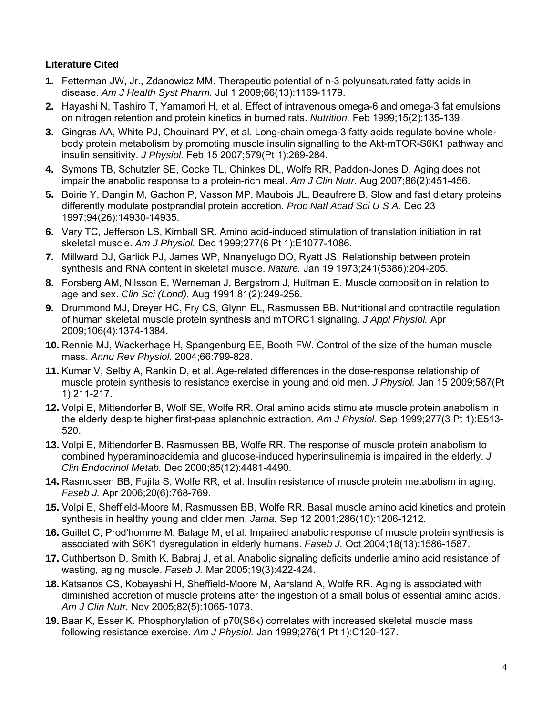# **Literature Cited**

- **1.** Fetterman JW, Jr., Zdanowicz MM. Therapeutic potential of n-3 polyunsaturated fatty acids in disease. *Am J Health Syst Pharm.* Jul 1 2009;66(13):1169-1179.
- **2.** Hayashi N, Tashiro T, Yamamori H, et al. Effect of intravenous omega-6 and omega-3 fat emulsions on nitrogen retention and protein kinetics in burned rats. *Nutrition.* Feb 1999;15(2):135-139.
- **3.** Gingras AA, White PJ, Chouinard PY, et al. Long-chain omega-3 fatty acids regulate bovine wholebody protein metabolism by promoting muscle insulin signalling to the Akt-mTOR-S6K1 pathway and insulin sensitivity. *J Physiol.* Feb 15 2007;579(Pt 1):269-284.
- **4.** Symons TB, Schutzler SE, Cocke TL, Chinkes DL, Wolfe RR, Paddon-Jones D. Aging does not impair the anabolic response to a protein-rich meal. *Am J Clin Nutr.* Aug 2007;86(2):451-456.
- **5.** Boirie Y, Dangin M, Gachon P, Vasson MP, Maubois JL, Beaufrere B. Slow and fast dietary proteins differently modulate postprandial protein accretion. *Proc Natl Acad Sci U S A.* Dec 23 1997;94(26):14930-14935.
- **6.** Vary TC, Jefferson LS, Kimball SR. Amino acid-induced stimulation of translation initiation in rat skeletal muscle. *Am J Physiol.* Dec 1999;277(6 Pt 1):E1077-1086.
- **7.** Millward DJ, Garlick PJ, James WP, Nnanyelugo DO, Ryatt JS. Relationship between protein synthesis and RNA content in skeletal muscle. *Nature.* Jan 19 1973;241(5386):204-205.
- **8.** Forsberg AM, Nilsson E, Werneman J, Bergstrom J, Hultman E. Muscle composition in relation to age and sex. *Clin Sci (Lond).* Aug 1991;81(2):249-256.
- **9.** Drummond MJ, Dreyer HC, Fry CS, Glynn EL, Rasmussen BB. Nutritional and contractile regulation of human skeletal muscle protein synthesis and mTORC1 signaling. *J Appl Physiol.* Apr 2009;106(4):1374-1384.
- **10.** Rennie MJ, Wackerhage H, Spangenburg EE, Booth FW. Control of the size of the human muscle mass. *Annu Rev Physiol.* 2004;66:799-828.
- **11.** Kumar V, Selby A, Rankin D, et al. Age-related differences in the dose-response relationship of muscle protein synthesis to resistance exercise in young and old men. *J Physiol.* Jan 15 2009;587(Pt 1):211-217.
- **12.** Volpi E, Mittendorfer B, Wolf SE, Wolfe RR. Oral amino acids stimulate muscle protein anabolism in the elderly despite higher first-pass splanchnic extraction. *Am J Physiol.* Sep 1999;277(3 Pt 1):E513- 520.
- **13.** Volpi E, Mittendorfer B, Rasmussen BB, Wolfe RR. The response of muscle protein anabolism to combined hyperaminoacidemia and glucose-induced hyperinsulinemia is impaired in the elderly. *J Clin Endocrinol Metab.* Dec 2000;85(12):4481-4490.
- **14.** Rasmussen BB, Fujita S, Wolfe RR, et al. Insulin resistance of muscle protein metabolism in aging. *Faseb J.* Apr 2006;20(6):768-769.
- **15.** Volpi E, Sheffield-Moore M, Rasmussen BB, Wolfe RR. Basal muscle amino acid kinetics and protein synthesis in healthy young and older men. *Jama.* Sep 12 2001;286(10):1206-1212.
- **16.** Guillet C, Prod'homme M, Balage M, et al. Impaired anabolic response of muscle protein synthesis is associated with S6K1 dysregulation in elderly humans. *Faseb J.* Oct 2004;18(13):1586-1587.
- **17.** Cuthbertson D, Smith K, Babraj J, et al. Anabolic signaling deficits underlie amino acid resistance of wasting, aging muscle. *Faseb J.* Mar 2005;19(3):422-424.
- **18.** Katsanos CS, Kobayashi H, Sheffield-Moore M, Aarsland A, Wolfe RR. Aging is associated with diminished accretion of muscle proteins after the ingestion of a small bolus of essential amino acids. *Am J Clin Nutr.* Nov 2005;82(5):1065-1073.
- **19.** Baar K, Esser K. Phosphorylation of p70(S6k) correlates with increased skeletal muscle mass following resistance exercise. *Am J Physiol.* Jan 1999;276(1 Pt 1):C120-127.